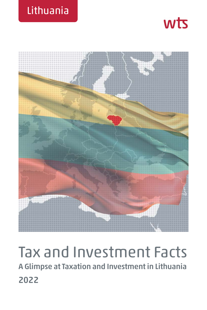





# Tax and Investment Facts **A Glimpse at Taxation and Investment in Lithuania 2022**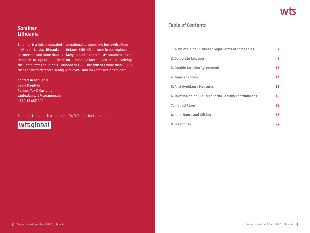# **Sorainen Lithuania**

Sorainen is a fully-integrated international business law firm with offices in Estonia, Latvia, Lithuania and Belarus. With 43 partners in our regional partnership and more than 240 lawyers and tax specialists, Sorainen has the resources to support our clients on all business law and tax issues involving the Baltic States or Belarus. Founded in 1995, the firm has more than 80,000 cases on its track record, along with over 1000 M&A transactions to date.

#### **Contact in Lithuania**

Saulė Dagilytė Partner, Tax & Customs saule.dagilyte@sorainen.com +370 52 685 040

Sorainen Lithuania is a member of WTS Global for Lithuania.



## **Table of Contents**

| 1. Ways of Doing Business / Legal Forms of Companies       | 4  |
|------------------------------------------------------------|----|
| 2. Corporate Taxation                                      | 5. |
| <b>3. Double Taxation Agreements</b>                       | 15 |
| 4. Transfer Pricing                                        | 16 |
| 5. Anti-Avoidance Measures                                 | 17 |
| 6. Taxation of Individuals / Social Security Contributions | 19 |
| <b>7. Indirect Taxes</b>                                   | 23 |
| 8. Inheritance and Gift Tax                                | 25 |
| 9. Wealth Tax                                              | 27 |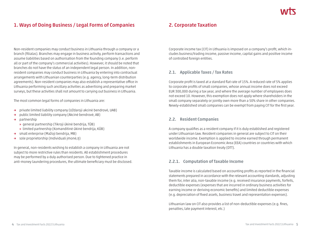# **1. Ways of Doing Business / Legal Forms of Companies**

Non-resident companies may conduct business in Lithuania through a company or a branch (filialas). Branches may engage in business activity, perform transactions and assume liabilities based on authorisation from the founding company (i.e. perform all or part of the company's commercial activities). However, it should be noted that branches do not have the status of an independent legal person. In addition, nonresident companies may conduct business in Lithuania by entering into contractual arrangements with Lithuanian counterparties (e.g. agency, long-term distribution agreements). Non-resident companies may also establish a representative office in Lithuania performing such ancillary activities as advertising and preparing market surveys, but these activities shall not amount to carrying out business in Lithuania.

The most common legal forms of companies in Lithuania are:

- **→** private limited liability company (Uždaroji akcinė bendrovė, UAB)
- **→** public limited liability company (Akcinė bendrovė, AB)
- **→** partnership
	- **»** general partnership (Tikroji ūkinė bendrija, TŪB)
	- **»** limited partnership (Komanditinė ūkinė bendrija, KŪB)
- **→** small enterprise (Mažoji bendrija, MB)
- **→** sole proprietorship (Individuali įmonė,IĮ)

In general, non-residents wishing to establish a company in Lithuania are not subject to more restrictive rules than residents. All establishment procedures may be performed by a duly authorised person. Due to tightened practice in anti-money laundering procedures, the ultimate beneficiary must be disclosed.

## **2. Corporate Taxation**

Corporate income tax (CIT) in Lithuania is imposed on a company's profit, which includes business/trading income, passive income, capital gains and positive income of controlled foreign entities.

## **2.1. Applicable Taxes / Tax Rates**

Corporate profit is taxed at a standard flat rate of 15%. A reduced rate of 5% applies to corporate profits of small companies, whose annual income does not exceed EUR 300,000 during a tax year, and where the average number of employees does not exceed 10. However, this exemption does not apply where shareholders in the small company separately or jointly own more than a 50% share in other companies. Newly-established small companies can be exempt from paying CIT for the first year.

## **2.2. Resident Companies**

A company qualifies as a resident company if it is duly established and registered under Lithuanian law. Resident companies in general are subject to CIT on their worldwide income. Exemption is applied to income earned through permanent establishments in European Economic Area (EEA) countries or countries with which Lithuania has a double taxation treaty (DTT).

## **2.2.1. Computation of Taxable Income**

Taxable income is calculated based on accounting profits as reported in the financial statements prepared in accordance with the relevant accounting standards, adjusting them for, inter alia, non-taxable income (e.g. received insurance payments, forfeits, deductible expenses (expenses that are incurred in ordinary business activities for earning income or deriving economic benefits) and limited deductible expenses (e.g. depreciation of fixed assets, business travel and representation expenses).

Lithuanian law on CIT also provides a list of non-deductible expenses (e.g. fines, penalties, late payment interest, etc.)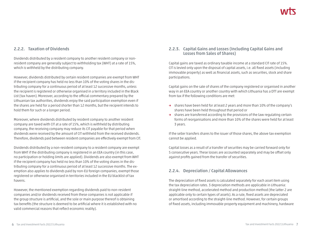## **2.2.2. Taxation of Dividends**

Dividends distributed by a resident company to another resident company or nonresident company are generally subject to withholding tax (WHT) at a rate of 15%, which is withheld by the distributing company.

However, dividends distributed by certain resident companies are exempt from WHT if the recipient company has held no less than 10% of the voting shares in the distributing company for a continuous period of at least 12 successive months, unless the recipient is registered or otherwise organised in a territory included in the Black List (tax haven). Moreover, according to the official commentary prepared by the Lithuanian tax authorities, dividends enjoy the said participation exemption even if the shares are held for a period shorter than 12 months, but the recipient intends to hold them for such or a longer period.

Moreover, where dividends distributed by resident company to another resident company are taxed with CIT at a rate of 15%, which is withheld by distributing company, the receiving company may reduce its CIT payable for that period when dividends were received by the amount of CIT withheld from the received dividends. Therefore, dividends paid between resident companies are effectively exempt from CIT.

Dividends distributed by a non-resident company to a resident company are exempt from WHT if the distributing company is registered in an EEA country (in this case, no participation or holding limits are applied). Dividends are also exempt from WHT if the recipient company has held no less than 10% of the voting shares in the distributing company for a continuous period of at least 12 successive months. The exemption also applies to dividends paid by non-EU foreign companies, exempt those registered or otherwise organised in territories included in the EU blacklist of tax havens.

However, the mentioned exemption regarding dividends paid to non-resident companies and/or dividends received from these companies is not applicable if the group structure is artificial, and the sole or main purpose thereof is obtaining tax benefits (the structure is deemed to be artificial where it is established with no valid commercial reasons that reflect economic reality).

## **2.2.3. Capital Gains and Losses (Including Capital Gains and Losses from Sales of Shares)**

Capital gains are taxed as ordinary taxable income at a standard CIT rate of 15%. CIT is levied only upon the disposal of capital assets, i.e. all fixed assets (including immovable property) as well as financial assets, such as securities, stock and share participations.

Capital gains on the sale of shares of the company registered or organised in another way in an EEA country or another country with which Lithuania has a DTT are exempt from tax if the following conditions are met:

- **→** shares have been held for at least 2 years and more than 10% of the company's shares have been held throughout that period or
- **→** shares are transferred according to the provisions of the law regulating certain forms of reorganisations and more than 10% of the shares were held for at least 3 years.

If the seller transfers shares to the issuer of those shares, the above tax exemption cannot be applied.

Capital losses as a result of a transfer of securities may be carried forward only for 5 consecutive years. These losses are accounted separately and may be offset only against profits gained from the transfer of securities.

## **2.2.4. Depreciation / Capital Allowances**

The depreciation of fixed assets is calculated separately for each asset item using the tax depreciation rates. 3 depreciation methods are applicable in Lithuania: straight-line method, accelerated method and production method (the latter 2 are applicable only to certain types of assets). As a rule, fixed assets are depreciated or amortised according to the straight-line method. However, for certain groups of fixed assets, including immovable property equipment and machinery, hardware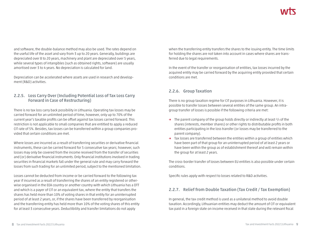and software, the double-balance method may also be used. The rates depend on the useful life of the asset and vary from 3 up to 20 years. Generally, buildings are depreciated over 8 to 20 years, machinery and plant are depreciated over 5 years, while several types of intangibles (such as obtained rights, software) are usually amortised over 3 to 4 years. No depreciation is calculated for land.

Depreciation can be accelerated where assets are used in research and development (R&D) activities.

## **2.2.5. Loss Carry Over (Including Potential Loss of Tax Loss Carry Forward in Case of Restructuring)**

There is no tax loss carry back possibility in Lithuania. Operating tax losses may be carried forward for an unlimited period of time, however, only up to 70% of the current year's taxable profits can be offset against tax losses carried forward. This restriction is not applicable to small companies that are entitled to apply a reduced CIT rate of 5%. Besides, tax losses can be transferred within a group companies provided that certain conditions are met.

Where losses are incurred as a result of transferring securities or derivative financial instruments, these can be carried forward for 5 consecutive tax years; however, such losses may only be covered from the income received from the transfer of securities and (or) derivative financial instruments. Only financial institutions involved in trading securities in financial markets fall under the general rule and may carry forward the losses from such trading for an unlimited period, subject to the mentioned limitation.

Losses cannot be deducted from income or be carried forward to the following tax year if incurred as a result of transferring the shares of an entity registered or otherwise organised in the EEA country or another country with which Lithuania has a DTT and which is a payer of CIT or an equivalent tax, where the entity that transfers the shares has held more than 10% of voting shares in that entity for an uninterrupted period of at least 2 years, or, if the shares have been transferred by reorganisation and the transferring entity has held more than 10% of the voting shares of this entity for at least 3 consecutive years. Deductibility and transfer limitations do not apply

when the transferring entity transfers the shares to the issuing entity. The time limits for holding the shares are not taken into account in cases where shares are transferred due to legal requirements.

In the event of the transfer or reorganisation of entities, tax losses incurred by the acquired entity may be carried forward by the acquiring entity provided that certain conditions are met.

## **2.2.6. Group Taxation**

There is no group taxation regime for CIT purposes in Lithuania. However, it is possible to transfer losses between several entities of the same group. An intragroup transfer of losses is possible if the following criteria are met:

- **→** The parent company of the group holds directly or indirectly at least 2/3 of the shares (interests, member shares) or other rights to distributable profits in both entities participating in the loss transfer (or losses may be transferred to the parent company).
- **→** Tax losses are transferred between the entities within a group of entities which have been part of that group for an uninterrupted period of at least 2 years or have been within the group as of establishment thereof and will remain within the group for at least 2 years.

The cross-border transfer of losses between EU entities is also possible under certain conditions.

Specific rules apply with respect to losses related to R&D activities.

## **2.2.7. Relief from Double Taxation (Tax Credit / Tax Exemption)**

In general, the tax credit method is used as a unilateral method to avoid double taxation. Accordingly, Lithuanian entities may deduct the amount of CIT or equivalent tax paid in a foreign state on income received in that state during the relevant fiscal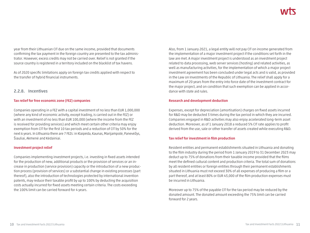year from their Lithuanian CIT due on the same income, provided that documents confirming the tax payment in the foreign country are presented to the tax administrator. However, excess credits may not be carried over. Relief is not granted if the source country is registered in a territory included on the blacklist of tax havens.

As of 2020 specific limitations apply on foreign tax credits applied with respect to the transfer of hybrid financial instruments.

#### **2.2.8. Incentives**

#### **Tax relief for free economic zone (FEZ) companies**

Companies operating in a FEZ with a capital investment of no less than EUR 1,000,000 (where any kind of economic activity, except trading, is carried out in the FEZ) or with an investment of no less than EUR 100,000 (where the income from the FEZ is received for providing services) and which meet certain other criteria may enjoy exemption from CIT for the first 10 tax periods and a reduction of CIT by 50% for the next 6 years. In Lithuania there are 7 FEZs: in Klaipėda, Kaunas, Marijampolė, Panevėžys, Šiauliai, Akmenė and Kėdainiai.

#### **Investment project relief**

Companies implementing investment projects, i.e. investing in fixed assets intended for the production of new, additional products or the provision of services or an increase in production (service provision) capacity or the introduction of a new production process (provision of services) or a substantial change in existing processes (part thereof), also the introduction of technologies protected by international invention patents, may reduce their taxable profit by up to 100% by deducting the acquisition costs actually incurred for fixed assets meeting certain criteria. The costs exceeding the 100% limit can be carried forward for 4 years.

Also, from 1 January 2021, a legal entity will not pay CIT on income generated from the implementation of a major investment project if the conditions set forth in the law are met. A major investment project is understood as an investment project related to data processing, web server services (hosting) and related activities, as well as manufacturing activities, for the implementation of which a major project investment agreement has been concluded under legal acts and is valid, as provided in the Law on Investments of the Republic of Lithuania. The relief shall apply for a maximum of 20 years from the entry into force date of the investment contract for the major project, and on condition that such exemption can be applied in accordance with state aid rules.

#### **Research and development deduction**

Expenses, except for depreciation (amortisation) charges on fixed assets incurred for R&D may be deducted 3 times during the tax period in which they are incurred. Companies engaged in R&D activities may also enjoy accelerated long-term asset deduction. Moreover, as of 1 January 2018 a reduced 5% CIT rate applies to profit derived from the use, sale or other transfer of assets created while executing R&D.

#### **Tax relief for investment in film production**

Resident entities and permanent establishments situated in Lithuania and donating to the film industry during the period from 1 January 2019 to 31 December 2023 may deduct up to 75% of donations from their taxable income provided that the films meet the defined cultural content and production criteria. The total sum of donations by all resident entities or foreign entities through their permanent establishments situated in Lithuania must not exceed 30% of all expenses of producing a film or a part thereof, and at least 80% or EUR 43,000 of the film production expenses must be incurred in Lithuania.

Moreover up to 75% of the payable CIT for the tax period may be reduced by the donated amount. The donated amount exceeding the 75% limit can be carried forward for 2 years.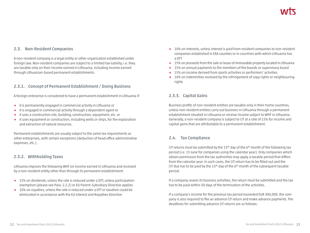## **2.3. Non-Resident Companies**

A non-resident company is a legal entity or other organisation established under foreign law. Non-resident companies are subject to a limited tax liability, i.e. they are taxable only on their income earned in Lithuania, including income earned through Lithuanian-based permanent establishments.

## **2.3.1. Concept of Permanent Establishment / Doing Business**

A foreign enterprise is considered to have a permanent establishment in Lithuania if:

- **→** it is permanently engaged in commercial activity in Lithuania or
- **→** it is engaged in commercial activity through a dependent agent or
- **→** it uses a construction site, building, construction, equipment, etc. or
- **→** it uses equipment or construction, including wells or ships, for the exploration and extraction of natural resources.

Permanent establishments are usually subject to the same tax requirements as other enterprises, with certain exceptions (deduction of head office administrative expenses, etc.).

## **2.3.2. Withholding Taxes**

Lithuania imposes the following WHT on income earned in Lithuania and received by a non-resident entity other than through its permanent establishment:

- **→** 15% on dividends, unless the rate is reduced under a DTT, unless participation exemption (please see Para. 2.2.2) or EU Parent–Subsidiary Directive applies
- **→** 10% on royalties, unless the rate is reduced under a DTT or taxation could be eliminated in accordance with the EU Interest and Royalties Directive
- **→** 10% on interests, unless interest is paid from resident companies to non-resident companies established in EEA counties or in countries with which Lithuania has a DTT
- **→** 15% on proceeds from the sale or lease of immovable property located in Lithuania
- **→** 15% on annual payments to the members of the boards or supervisory board
- **→** 15% on income derived from sports activities or performers' activities
- **→** 10% on indemnities received by the infringement of copy rights or neighbouring rights

## **2.3.3. Capital Gains**

Business profits of non-resident entities are taxable only in their home countries, unless non-resident entities carry out business in Lithuania through a permanent establishment situated in Lithuania or receive income subject to WHT in Lithuania. Generally, a non-resident company is subject to CIT at a rate of 15% for income and capital gains that are attributable to a permanent establishment.

## **2.4. Tax Compliance**

CIT returns must be submitted by the 15<sup>th</sup> day of the 6<sup>th</sup> month of the following tax period (i.e. 15 June for companies using the calendar year). Only companies which obtain permission from the tax authorities may apply a taxable period that differs from the calendar year. In such cases, the CIT return has to be filled out and the CIT due has to be paid by the  $15<sup>th</sup>$  day of the 6<sup>th</sup> month of the subsequent taxable period.

If a company ceases its business activities, the return must be submitted and the tax has to be paid within 30 days of the termination of the activities.

If a company's income for the previous tax period exceeded EUR 300,000, the company is also required to file an advance CIT return and make advance payments. The deadlines for submitting advance CIT returns are as follows: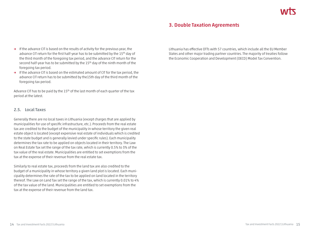# **3. Double Taxation Agreements**

- **→** If the advance CIT is based on the results of activity for the previous year, the advance CIT return for the first half-year has to be submitted by the 15<sup>th</sup> day of the third month of the foregoing tax period, and the advance CIT return for the second half-year has to be submitted by the 15<sup>th</sup> day of the ninth month of the foregoing tax period.
- **→** If the advance CIT is based on the estimated amount of CIT for the tax period, the advance CIT return has to be submitted by the15th day of the third month of the foregoing tax period.

Advance CIT has to be paid by the 15<sup>th</sup> of the last month of each quarter of the tax period at the latest.

#### **2.5. Local Taxes**

Generally there are no local taxes in Lithuania (except charges that are applied by municipalities for use of specific infrastructure, etc.). Proceeds from the real estate tax are credited to the budget of the municipality in whose territory the given real estate object is located (except expensive real estate of individuals which is credited to the state budget and is generally levied under specific rules). Each municipality determines the tax rate to be applied on objects located in their territory. The Law on Real Estate Tax set the range of the tax rate, which is currently 0.5% to 3% of the tax value of the real estate. Municipalities are entitled to set exemptions from the tax at the expense of their revenue from the real estate tax.

Similarly to real estate tax, proceeds from the land tax are also credited to the budget of a municipality in whose territory a given land plot is located. Each municipality determines the rate of the tax to be applied on land located in the territory thereof. The Law on Land Tax set the range of the tax, which is currently 0.01% to 4% of the tax value of the land. Municipalities are entitled to set exemptions from the tax at the expense of their revenue from the land tax.

Lithuania has effective DTTs with 57 countries, which include all the EU Member States and other major trading partner countries. The majority of treaties follow the Economic Cooperation and Development (OECD) Model Tax Convention.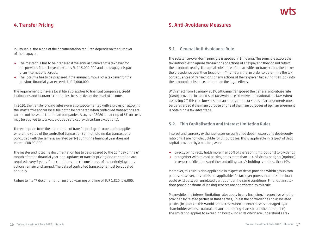# **4. Transfer Pricing**

In Lithuania, the scope of the documentation required depends on the turnover of the taxpayer:

- **→** The master file has to be prepared if the annual turnover of a taxpayer for the previous financial year exceeds EUR 15,000,000 and the taxpayer is part of an international group.
- **→** The local file has to be prepared if the annual turnover of a taxpayer for the previous financial year exceeds EUR 3,000,000.

The requirement to have a local file also applies to financial companies, credit institutions and insurance companies, irrespective of the level of income.

In 2020, the transfer pricing rules were also supplemented with a provision allowing the master file and/or local file not to be prepared when controlled transactions are carried out between Lithuanian companies. Also, as of 2020 a mark-up of 5% on costs may be applied to low value-added services (with certain exceptions).

The exemption from the preparation of transfer pricing documentation applies where the value of the controlled transaction (or multiple similar transactions concluded with the same associated party) during the financial year does not exceed EUR 90,000.

The master and local file documentation has to be prepared by the  $15<sup>th</sup>$  day of the  $6<sup>th</sup>$ month after the financial year-end. Updates of transfer pricing documentation are required every 3 years if the conditions and circumstances of the underlying transactions remain unchanged. The data of controlled transactions must be updated annually.

Failure to file TP documentation incurs a warning or a fine of EUR 1,820 to 6,000.

# **5. Anti-Avoidance Measures**

## **5.1. General Anti-Avoidance Rule**

The substance-over-form principle is applied in Lithuania. This principle allows the tax authorities to ignore transactions or actions of a taxpayer if they do not reflect the economic reality. The actual substance of the activities or transactions then takes the precedence over their legal form. This means that in order to determine the tax consequences of transactions or any actions of the taxpayer, tax authorities look into the economic substance, rather than the legal effects.

With effect from 1 January 2019, Lithuania transposed the general anti-abuse rule (GAAR) provided in the EU Anti-Tax Avoidance Directive into national tax law. When assessing CIT, this rule foresees that an arrangement or series of arrangements must be disregarded if the main purpose or one of the main purposes of such arrangement is obtaining a tax advantage.

## **5.2. Thin Capitalisation and Interest Limitation Rules**

Interest and currency exchange losses on controlled debt in excess of a debt/equity ratio of 4:1 are non-deductible for CIT purposes. This is applicable in respect of debt capital provided by a creditor, who:

- **→** directly or indirectly holds more than 50% of shares or rights (options) to dividends
- **→** or together with related parties, holds more than 50% of shares or rights (options) in respect of dividends and the controlling party's holding is not less than 10%.

Moreover, this rule is also applicable in respect of debts provided within group companies. However, this rule is not applicable if a taxpayer proves that the same loan could exist between unrelated parties under the same conditions. Financial institutions providing financial leasing services are not affected by this rule.

Meanwhile, the interest limitation rules apply to any financing, irrespective whether provided by related parties or third parties, unless the borrower has no associated parties (in practice, this would be the case when an enterprise is managed by a shareholder who is a natural person not holding shares in another enterprise). The limitation applies to exceeding borrowing costs which are understood as tax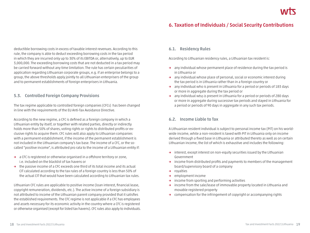# **6. Taxation of Individuals / Social Security Contributions**

deductible borrowing costs in excess of taxable interest revenues. According to this rule, the company is able to deduct exceeding borrowing costs in the tax period in which they are incurred only up to 30% of its EBITDA or, alternatively, up to EUR 3,000,000. The exceeding borrowing costs that are not deducted in a tax period may be carried forward without any time limitation. The rule has certain peculiarities of application regarding Lithuanian corporate groups, e.g. if an enterprise belongs to a group, the above thresholds apply jointly to all Lithuanian enterprisers of the group and to permanent establishments of foreign enterprisers in Lithuania.

## **5.3. Controlled Foreign Company Provisions**

The tax regime applicable to controlled foreign companies (CFCs) has been changed in line with the requirements of the EU Anti-Tax Avoidance Directive.

According to the new regime, a CFC is defined as a foreign company in which a Lithuanian entity by itself, or together with related parties, directly or indirectly holds more than 50% of shares, voting rights or rights to distributed profits or exclusive rights to acquire them. CFC rules will also apply to Lithuanian companies with a permanent establishment, if the income of the permanent establishment is not included in the Lithuanian company's tax base. The income of a CFC, or the socalled "positive income", is attributed pro rata to the income of a Lithuanian entity if:

- **→** a CFC is registered or otherwise organised in a offshore territory or zone, i.e. included on the blacklist of tax havens or
- **→** the passive income of a CFC exceeds one third of its total income and its actual CIT calculated according to the tax rules of a foreign country is less than 50% of the actual CIT that would have been calculated according to Lithuanian tax rules.

Lithuanian CFC rules are applicable to positive income (loan interest, financial lease, copyright remuneration, dividends, etc.). The active income of a foreign subsidiary is not attributed to income of the Lithuanian parent company provided that it satisfies the established requirements. The CFC regime is not applicable if a CFC has employees and assets necessary for its economic activity in the country where a CFC is registered or otherwise organised (except for listed tax havens). CFC rules also apply to individuals.

## **6.1. Residency Rules**

According to Lithuanian residency rules, a Lithuanian tax resident is:

- **→** any individual whose permanent place of residence during the tax period is in Lithuania or
- **→** any individual whose place of personal, social or economic interest during the tax period is in Lithuania rather than in a foreign country or
- **→** any individual who is present in Lithuania for a period or periods of 183 days or more in aggregate during the tax period or
- **→** any individual who is present in Lithuania for a period or periods of 280 days or more in aggregate during successive tax periods and stayed in Lithuania for a period or periods of 90 days in aggregate in any such tax periods.

## **6.2. Income Liable to Tax**

A Lithuanian resident individual is subject to personal income tax (PIT) on his worldwide income, while a non-resident is taxed with PIT in Lithuania only on income derived through a fixed base in Lithuania or attributed thereto as well as on certain Lithuanian income, the list of which is exhaustive and includes the following:

- **→** interest, except interest on non-equity securities issued by the Lithuanian Government
- **→** income from distributed profits and payments to members of the management board/supervisory board of a company
- **→** royalties
- **→** employment income
- **→** income from sporting and performing activities
- **→** income from the sale/lease of immovable property located in Lithuania and movable registered property
- **→** compensation for the infringement of copyright or accompanying rights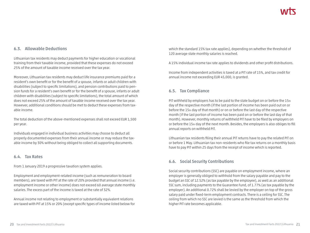## **6.3. Allowable Deductions**

Lithuanian tax residents may deduct payments for higher education or vocational training from their taxable income, provided that these expenses do not exceed 25% of the amount of taxable income received over the tax year.

Moreover, Lithuanian tax residents may deduct life insurance premiums paid for a resident's own benefit or for the benefit of a spouse, infants or adult children with disabilities (subject to specific limitations), and pension contributions paid to pension funds for a resident's own benefit or for the benefit of a spouse, infants or adult children with disabilities (subject to specific limitations), the total amount of which does not exceed 25% of the amount of taxable income received over the tax year. However, additional conditions should be met to deduct these expenses from taxable income.

The total deduction of the above-mentioned expenses shall not exceed EUR 1,500 per year.

Individuals engaged in individual business activities may choose to deduct all properly documented expenses from their annual income or may reduce the taxable income by 30% without being obliged to collect all supporting documents.

#### **6.4. Tax Rates**

From 1 January 2019 a progressive taxation system applies.

Employment and employment-related income (such as remuneration to board members), are taxed with PIT at the rate of 20% provided that annual income (i.e. employment income or other income) does not exceed 60 average state monthly salaries. The excess part of the income is taxed at the rate of 32%.

Annual income not relating to employment or substantially equivalent relations are taxed with PIT at 15% or 20% (except specific types of income listed below for which the standard 15% tax rate applies), depending on whether the threshold of 120 average state monthly salaries is reached.

A 15% individual income tax rate applies to dividends and other profit distributions.

Income from independent activities is taxed at a PIT rate of 15%, and tax credit for annual income not exceeding EUR 45,000, is granted.

## **6.5. Tax Compliance**

PIT withheld by employers has to be paid to the state budget on or before the 15th day of the respective month (if the last portion of income has been paid out on or before the 15th day of that month) or on or before the last day of the respective month (if the last portion of income has been paid on or before the last day of that month). However, monthly returns of withheld PIT have to be filed by employers on or before the 15th day of the next month. Besides, the employers is also obliges to fill annual reports on withheld PIT.

Lithuanian tax residents filing their annual PIT returns have to pay the related PIT on or before 1 May. Lithuanian tax non-residents who file tax returns on a monthly basis have to pay PIT within 25 days from the receipt of income which is reported.

## **6.6. Social Security Contributions**

Social security contributions (SSC) are payable on employment income, where an employer is generally obliged to withhold from the salary payable and pay to the budget an SSC of 12.52% (as tax payable by the employee), as well as an additional SSC sum, including payments to the Guarantee Fund, of 1.77% (as tax payable by the employer). An additional 0.72% shall be levied by the employer on top of the gross salary paid under fixed-term employment contracts. There is a ceiling for SSC. The ceiling from which no SSC are levied is the same as the threshold from which the higher PIT rate becomes applicable.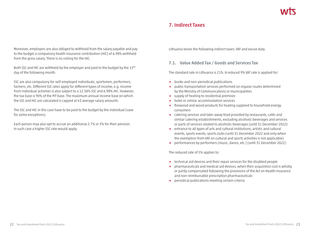# **7. Indirect Taxes**

Moreover, employers are also obliged to withhold from the salary payable and pay to the budget a compulsory health insurance contribution (HIC) of 6.98% withheld from the gross salary. There is no ceiling for the HIC.

Both SSC and HIC are withheld by the employer and paid to the budget by the 15<sup>th</sup> day of the following month.

SSC are also compulsory for self-employed individuals, sportsmen, performers, farmers, etc. Different SSC rates apply for different types of income, e.g. income from individual activities is also subject to a 12.58% SSC and 6.98% HIC. However, the tax base is 90% of the PIT base. The maximum annual income base on which the SSC and HIC are calculated is capped at 43 average salary amounts.

The SSC and HIC in this case have to be paid to the budget by the individual (save for some exceptions).

Each person may also opt to accrue an additional 2.7% or 3% for their pension. In such case a higher SSC rate would apply.

Lithuania levies the following indirect taxes: VAT and excise duty.

## **7.1. Value Added Tax / Goods and Services Tax**

The standard rate in Lithuania is 21%. A reduced 9% VAT rate is applied for:

- **→** books and non-periodical publications
- **→** public transportation services performed on regular routes determined by the Ministry of Communications or municipalities
- **→** supply of heating to residential premises
- **→** hotel or similar accommodation services
- **→** firewood and wood products for heating supplied to household energy consumers
- **→** catering services and take-away food provided by restaurants, cafés and similar catering establishments, excluding alcoholic beverages and services or parts of services related to alcoholic beverages (until 31 December 2022)
- **→** entrance to all types of arts and cultural institutions, artistic and cultural events, sports events, sports clubs (until 31 December 2022 and only when the exemption from VAT on cultural and sports activities is not applicable)
- **→** performances by performers (music, dance, etc.) (until 31 December 2022)

The reduced rate of 5% applies to:

- **→** technical aid devices and their repair services for the disabled people
- **→** pharmaceuticals and medical aid devices, when their acquisition cost is wholly or partly compensated following the provisions of the Act on Health Insurance and non-reimbursable prescription pharmaceuticals
- **→** periodical publications meeting certain criteria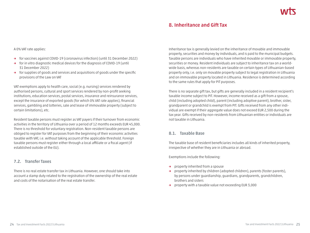# **8. Inheritance and Gift Tax**

A 0% VAT rate applies:

- **→** for vaccines against COVID-19 (coronavirus infection) (until 31 December 2022)
- **→** for in vitro diagnostic medical devices for the diagnosis of COVID-19 (until 31 December 2022)
- **→** for supplies of goods and services and acquisitions of goods under the specific provisions of the Law on VAT

VAT exemptions apply to health care, social (e.g. nursing) services rendered by authorised persons, cultural and sport services rendered by non-profit seeking institutions, education services, postal services, insurance and reinsurance services, except the insurance of exported goods (for which 0% VAT rate applies), financial services, gambling and lotteries, sale and lease of immovable property (subject to certain limitations), etc.

Resident taxable persons must register as VAT payers if their turnover from economic activities in the territory of Lithuania over a period of 12 months exceeds EUR 45,000. There is no threshold for voluntary registration. Non-resident taxable persons are obliged to register for VAT purposes from the beginning of their economic activities taxable with VAT, i.e. without taking account of the applicable threshold. Foreign taxable persons must register either through a local affiliate or a fiscal agent (if established outside of the EU).

## **7.2. Transfer Taxes**

There is no real estate transfer tax in Lithuania. However, one should take into account a stamp duty related to the registration of the ownership of the real estate and costs of the notarisation of the real estate transfer.

Inheritance tax is generally levied on the inheritance of movable and immovable property, securities and money by individuals, and is paid to the municipal budgets. Taxable persons are individuals who have inherited movable or immovable property, securities or money. Resident individuals are subject to inheritance tax on a worldwide basis, whereas non-residents are taxable on certain types of Lithuanian-based property only, i.e. only on movable property subject to legal registration in Lithuania and on immovable property located in Lithuania. Residence is determined according to the same rules that apply for PIT purposes.

There is no separate gift tax, but gifts are generally included in a resident recipient's taxable income subject to PIT. However, income received as a gift from a spouse, child (including adopted child), parent (including adoptive parent), brother, sister, grandparent or grandchild is exempt from PIT. Gifts received from any other individual are exempt if their aggregate value does not exceed EUR 2,500 during the tax year. Gifts received by non-residents from Lithuanian entities or individuals are not taxable in Lithuania.

## **8.1. Taxable Base**

The taxable base of resident beneficiaries includes all kinds of inherited property, irrespective of whether they are in Lithuania or abroad.

Exemptions include the following:

- **→** property inherited from a spouse
- **→** property inherited by children (adopted children), parents (foster parents), by persons under guardianship, guardians, grandparents, grandchildren, brothers and sisters
- **→** property with a taxable value not exceeding EUR 3,000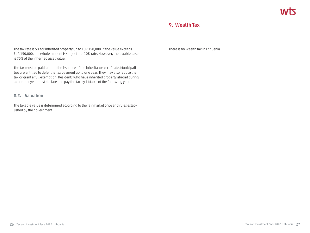# **9. Wealth Tax**

The tax rate is 5% for inherited property up to EUR 150,000. If the value exceeds EUR 150,000, the whole amount is subject to a 10% rate. However, the taxable base is 70% of the inherited asset value.

The tax must be paid prior to the issuance of the inheritance certificate. Municipalities are entitled to defer the tax payment up to one year. They may also reduce the tax or grant a full exemption. Residents who have inherited property abroad during a calendar year must declare and pay the tax by 1 March of the following year.

## **8.2. Valuation**

The taxable value is determined according to the fair market price and rules established by the government.

There is no wealth tax in Lithuania.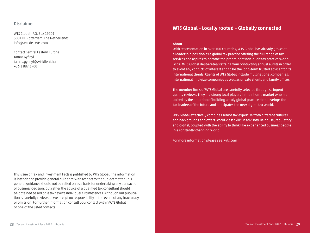#### **Disclaimer**

WTS Global P.O. Box 19201 3001 BE Rotterdam The Netherlands info@wts.de wts.com

Contact Central Eastern Europe Tamás Gyányi tamas.gyanyi@wtsklient.hu +36 1 887 3700

This issue of Tax and Investment Facts is published by WTS Global. The information is intended to provide general guidance with respect to the subject matter. This general guidance should not be relied on as a basis for undertaking any transaction or business decision, but rather the advice of a qualified tax consultant should be obtained based on a taxpayer's individual circumstances. Although our publication is carefully reviewed, we accept no responsibility in the event of any inaccuracy or omission. For further information consult your contact within WTS Global or one of the listed contacts.

# **WTS Global – Locally rooted – Globally connected**

#### **About**

With representation in over 100 countries, WTS Global has already grown to a leadership position as a global tax practice offering the full range of tax services and aspires to become the preeminent non-audit tax practice worldwide. WTS Global deliberately refrains from conducting annual audits in order to avoid any conflicts of interest and to be the long-term trusted adviser for its international clients. Clients of WTS Global include multinational companies, international mid-size companies as well as private clients and family offices.

The member firms of WTS Global are carefully selected through stringent quality reviews. They are strong local players in their home market who are united by the ambition of building a truly global practice that develops the tax leaders of the future and anticipates the new digital tax world.

WTS Global effectively combines senior tax expertise from different cultures and backgrounds and offers world-class skills in advisory, in-house, regulatory and digital, coupled with the ability to think like experienced business people in a constantly changing world.

For more information please see: wts.com